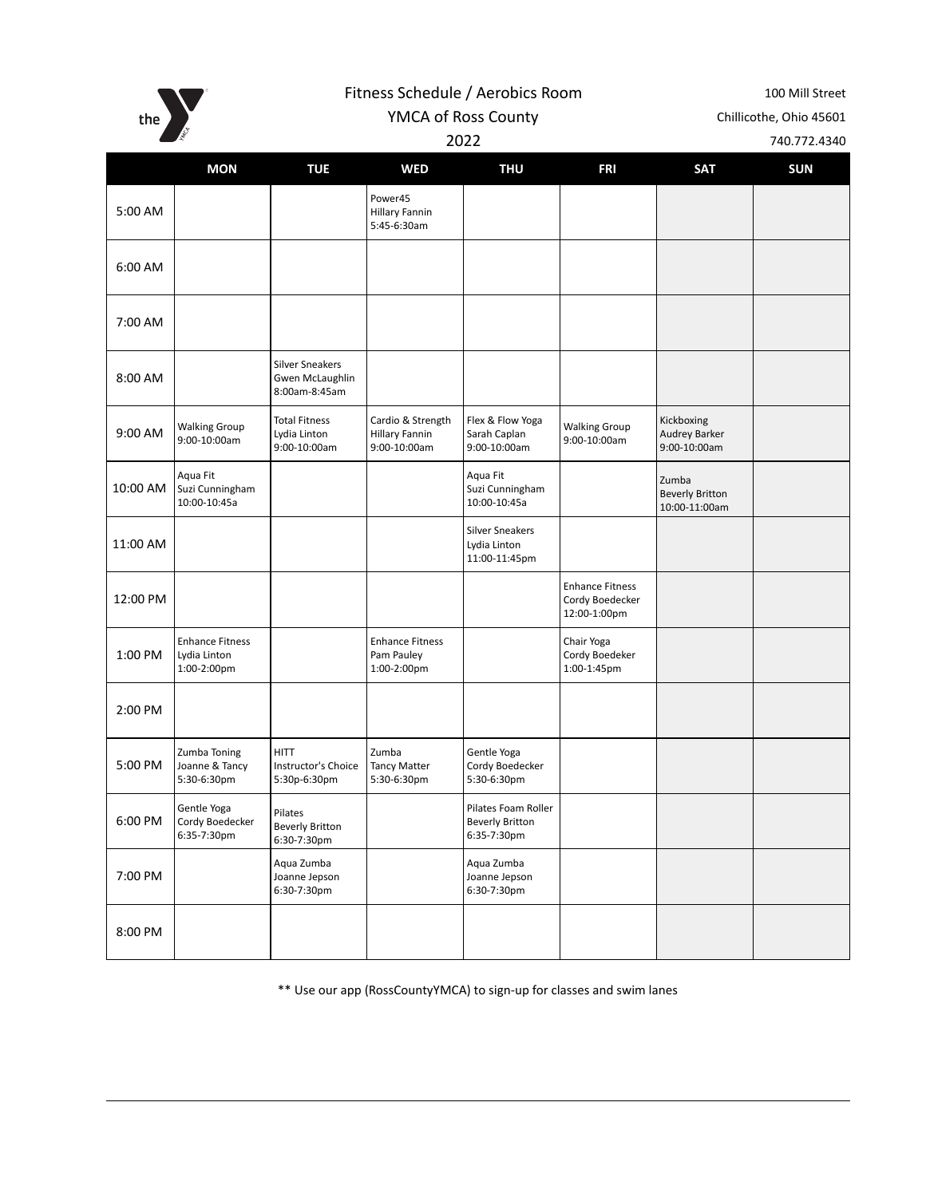the  $\sum_{s}$ 

Fitness Schedule / Aerobics Room 100 Mill Street

YMCA of Ross County Chillicothe, Ohio 45601

2022 740.772.4340

|          | <b>MON</b>                                            | <b>TUE</b>                                                 | <b>WED</b>                                                 | <b>THU</b>                                                   | <b>FRI</b>                                                | <b>SAT</b>                                       | <b>SUN</b> |
|----------|-------------------------------------------------------|------------------------------------------------------------|------------------------------------------------------------|--------------------------------------------------------------|-----------------------------------------------------------|--------------------------------------------------|------------|
| 5:00 AM  |                                                       |                                                            | Power45<br><b>Hillary Fannin</b><br>5:45-6:30am            |                                                              |                                                           |                                                  |            |
| 6:00 AM  |                                                       |                                                            |                                                            |                                                              |                                                           |                                                  |            |
| 7:00 AM  |                                                       |                                                            |                                                            |                                                              |                                                           |                                                  |            |
| 8:00 AM  |                                                       | <b>Silver Sneakers</b><br>Gwen McLaughlin<br>8:00am-8:45am |                                                            |                                                              |                                                           |                                                  |            |
| 9:00 AM  | <b>Walking Group</b><br>9:00-10:00am                  | <b>Total Fitness</b><br>Lydia Linton<br>9:00-10:00am       | Cardio & Strength<br><b>Hillary Fannin</b><br>9:00-10:00am | Flex & Flow Yoga<br>Sarah Caplan<br>9:00-10:00am             | <b>Walking Group</b><br>9:00-10:00am                      | Kickboxing<br>Audrey Barker<br>9:00-10:00am      |            |
| 10:00 AM | Aqua Fit<br>Suzi Cunningham<br>10:00-10:45a           |                                                            |                                                            | Aqua Fit<br>Suzi Cunningham<br>10:00-10:45a                  |                                                           | Zumba<br><b>Beverly Britton</b><br>10:00-11:00am |            |
| 11:00 AM |                                                       |                                                            |                                                            | <b>Silver Sneakers</b><br>Lydia Linton<br>11:00-11:45pm      |                                                           |                                                  |            |
| 12:00 PM |                                                       |                                                            |                                                            |                                                              | <b>Enhance Fitness</b><br>Cordy Boedecker<br>12:00-1:00pm |                                                  |            |
| 1:00 PM  | <b>Enhance Fitness</b><br>Lydia Linton<br>1:00-2:00pm |                                                            | <b>Enhance Fitness</b><br>Pam Pauley<br>1:00-2:00pm        |                                                              | Chair Yoga<br>Cordy Boedeker<br>1:00-1:45pm               |                                                  |            |
| 2:00 PM  |                                                       |                                                            |                                                            |                                                              |                                                           |                                                  |            |
| 5:00 PM  | Zumba Toning<br>Joanne & Tancy<br>5:30-6:30pm         | <b>HITT</b><br>Instructor's Choice<br>5:30p-6:30pm         | Zumba<br><b>Tancy Matter</b><br>5:30-6:30pm                | Gentle Yoga<br>Cordy Boedecker<br>5:30-6:30pm                |                                                           |                                                  |            |
| 6:00 PM  | Gentle Yoga<br>Cordy Boedecker<br>6:35-7:30pm         | Pilates<br><b>Beverly Britton</b><br>6:30-7:30pm           |                                                            | Pilates Foam Roller<br><b>Beverly Britton</b><br>6:35-7:30pm |                                                           |                                                  |            |
| 7:00 PM  |                                                       | Aqua Zumba<br>Joanne Jepson<br>6:30-7:30pm                 |                                                            | Aqua Zumba<br>Joanne Jepson<br>6:30-7:30pm                   |                                                           |                                                  |            |
| 8:00 PM  |                                                       |                                                            |                                                            |                                                              |                                                           |                                                  |            |

\*\* Use our app (RossCountyYMCA) to sign-up for classes and swim lanes